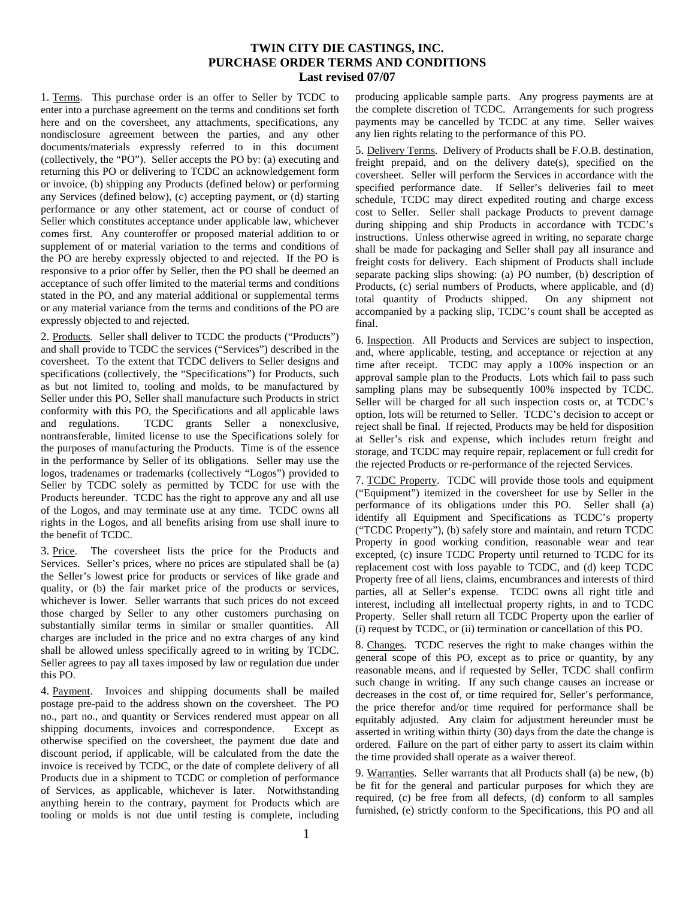## **TWIN CITY DIE CASTINGS, INC. PURCHASE ORDER TERMS AND CONDITIONS Last revised 07/07**

1. Terms. This purchase order is an offer to Seller by TCDC to enter into a purchase agreement on the terms and conditions set forth here and on the coversheet, any attachments, specifications, any nondisclosure agreement between the parties, and any other documents/materials expressly referred to in this document (collectively, the "PO"). Seller accepts the PO by: (a) executing and returning this PO or delivering to TCDC an acknowledgement form or invoice, (b) shipping any Products (defined below) or performing any Services (defined below), (c) accepting payment, or (d) starting performance or any other statement, act or course of conduct of Seller which constitutes acceptance under applicable law, whichever comes first. Any counteroffer or proposed material addition to or supplement of or material variation to the terms and conditions of the PO are hereby expressly objected to and rejected. If the PO is responsive to a prior offer by Seller, then the PO shall be deemed an acceptance of such offer limited to the material terms and conditions stated in the PO, and any material additional or supplemental terms or any material variance from the terms and conditions of the PO are expressly objected to and rejected.

2. Products. Seller shall deliver to TCDC the products ("Products") and shall provide to TCDC the services ("Services") described in the coversheet. To the extent that TCDC delivers to Seller designs and specifications (collectively, the "Specifications") for Products, such as but not limited to, tooling and molds, to be manufactured by Seller under this PO, Seller shall manufacture such Products in strict conformity with this PO, the Specifications and all applicable laws and regulations. TCDC grants Seller a nonexclusive, nontransferable, limited license to use the Specifications solely for the purposes of manufacturing the Products. Time is of the essence in the performance by Seller of its obligations. Seller may use the logos, tradenames or trademarks (collectively "Logos") provided to Seller by TCDC solely as permitted by TCDC for use with the Products hereunder. TCDC has the right to approve any and all use of the Logos, and may terminate use at any time. TCDC owns all rights in the Logos, and all benefits arising from use shall inure to the benefit of TCDC.

3. Price. The coversheet lists the price for the Products and Services. Seller's prices, where no prices are stipulated shall be (a) the Seller's lowest price for products or services of like grade and quality, or (b) the fair market price of the products or services, whichever is lower. Seller warrants that such prices do not exceed those charged by Seller to any other customers purchasing on substantially similar terms in similar or smaller quantities. All charges are included in the price and no extra charges of any kind shall be allowed unless specifically agreed to in writing by TCDC. Seller agrees to pay all taxes imposed by law or regulation due under this PO.

4. Payment. Invoices and shipping documents shall be mailed postage pre-paid to the address shown on the coversheet. The PO no., part no., and quantity or Services rendered must appear on all shipping documents, invoices and correspondence. Except as otherwise specified on the coversheet, the payment due date and discount period, if applicable, will be calculated from the date the invoice is received by TCDC, or the date of complete delivery of all Products due in a shipment to TCDC or completion of performance of Services, as applicable, whichever is later. Notwithstanding anything herein to the contrary, payment for Products which are tooling or molds is not due until testing is complete, including producing applicable sample parts. Any progress payments are at the complete discretion of TCDC. Arrangements for such progress payments may be cancelled by TCDC at any time. Seller waives any lien rights relating to the performance of this PO.

5. Delivery Terms. Delivery of Products shall be F.O.B. destination, freight prepaid, and on the delivery date(s), specified on the coversheet. Seller will perform the Services in accordance with the specified performance date. If Seller's deliveries fail to meet schedule, TCDC may direct expedited routing and charge excess cost to Seller. Seller shall package Products to prevent damage during shipping and ship Products in accordance with TCDC's instructions. Unless otherwise agreed in writing, no separate charge shall be made for packaging and Seller shall pay all insurance and freight costs for delivery. Each shipment of Products shall include separate packing slips showing: (a) PO number, (b) description of Products, (c) serial numbers of Products, where applicable, and (d) total quantity of Products shipped. On any shipment not accompanied by a packing slip, TCDC's count shall be accepted as final.

6. Inspection. All Products and Services are subject to inspection, and, where applicable, testing, and acceptance or rejection at any time after receipt. TCDC may apply a 100% inspection or an approval sample plan to the Products. Lots which fail to pass such sampling plans may be subsequently 100% inspected by TCDC. Seller will be charged for all such inspection costs or, at TCDC's option, lots will be returned to Seller. TCDC's decision to accept or reject shall be final. If rejected, Products may be held for disposition at Seller's risk and expense, which includes return freight and storage, and TCDC may require repair, replacement or full credit for the rejected Products or re-performance of the rejected Services.

7. TCDC Property. TCDC will provide those tools and equipment ("Equipment") itemized in the coversheet for use by Seller in the performance of its obligations under this PO. Seller shall (a) identify all Equipment and Specifications as TCDC's property ("TCDC Property"), (b) safely store and maintain, and return TCDC Property in good working condition, reasonable wear and tear excepted, (c) insure TCDC Property until returned to TCDC for its replacement cost with loss payable to TCDC, and (d) keep TCDC Property free of all liens, claims, encumbrances and interests of third parties, all at Seller's expense. TCDC owns all right title and interest, including all intellectual property rights, in and to TCDC Property. Seller shall return all TCDC Property upon the earlier of (i) request by TCDC, or (ii) termination or cancellation of this PO.

8. Changes. TCDC reserves the right to make changes within the general scope of this PO, except as to price or quantity, by any reasonable means, and if requested by Seller, TCDC shall confirm such change in writing. If any such change causes an increase or decreases in the cost of, or time required for, Seller's performance, the price therefor and/or time required for performance shall be equitably adjusted. Any claim for adjustment hereunder must be asserted in writing within thirty (30) days from the date the change is ordered. Failure on the part of either party to assert its claim within the time provided shall operate as a waiver thereof.

9. Warranties. Seller warrants that all Products shall (a) be new, (b) be fit for the general and particular purposes for which they are required, (c) be free from all defects, (d) conform to all samples furnished, (e) strictly conform to the Specifications, this PO and all